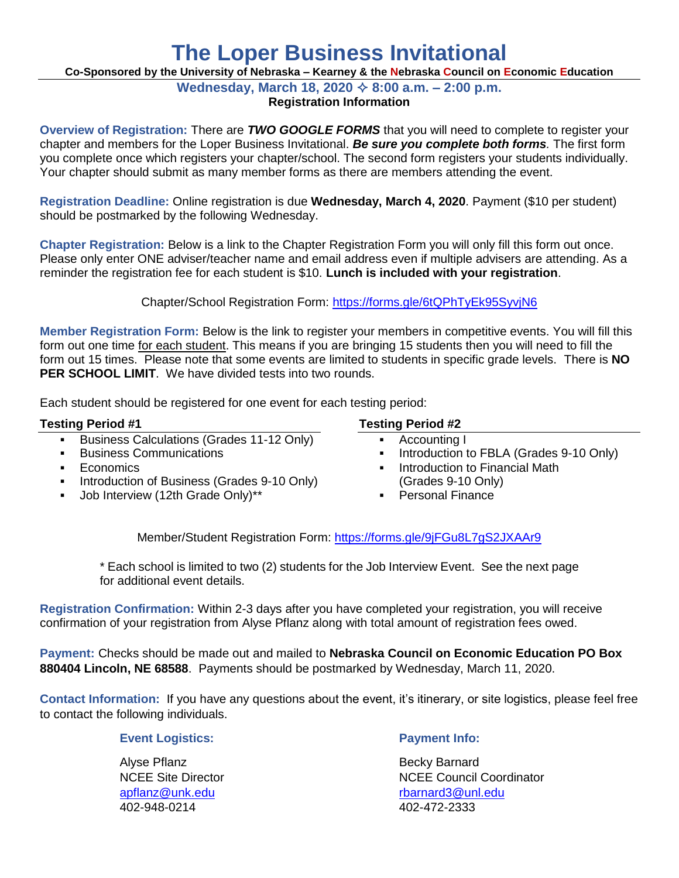# **The Loper Business Invitational**

**Co-Sponsored by the University of Nebraska – Kearney & the Nebraska Council on Economic Education**

**Wednesday, March 18, 2020 8:00 a.m. – 2:00 p.m.**

**Registration Information** 

**Overview of Registration:** There are *TWO GOOGLE FORMS* that you will need to complete to register your chapter and members for the Loper Business Invitational. *Be sure you complete both forms.* The first form you complete once which registers your chapter/school. The second form registers your students individually. Your chapter should submit as many member forms as there are members attending the event.

**Registration Deadline:** Online registration is due **Wednesday, March 4, 2020**. Payment (\$10 per student) should be postmarked by the following Wednesday.

**Chapter Registration:** Below is a link to the Chapter Registration Form you will only fill this form out once. Please only enter ONE adviser/teacher name and email address even if multiple advisers are attending. As a reminder the registration fee for each student is \$10. **Lunch is included with your registration**.

# Chapter/School Registration Form: <https://forms.gle/6tQPhTyEk95SyvjN6>

**Member Registration Form:** Below is the link to register your members in competitive events. You will fill this form out one time for each student. This means if you are bringing 15 students then you will need to fill the form out 15 times. Please note that some events are limited to students in specific grade levels. There is **NO PER SCHOOL LIMIT.** We have divided tests into two rounds.

Each student should be registered for one event for each testing period:

# **Testing Period #1**

- Business Calculations (Grades 11-12 Only)
- Business Communications
- **E**conomics
- Introduction of Business (Grades 9-10 Only)
- Job Interview (12th Grade Only)\*\*

# **Testing Period #2**

- Accounting I
- Introduction to FBLA (Grades 9-10 Only)
- **Introduction to Financial Math** (Grades 9-10 Only)
- **•** Personal Finance

Member/Student Registration Form:<https://forms.gle/9jFGu8L7gS2JXAAr9>

\* Each school is limited to two (2) students for the Job Interview Event. See the next page for additional event details.

**Registration Confirmation:** Within 2-3 days after you have completed your registration, you will receive confirmation of your registration from Alyse Pflanz along with total amount of registration fees owed.

**Payment:** Checks should be made out and mailed to **Nebraska Council on Economic Education PO Box 880404 Lincoln, NE 68588**. Payments should be postmarked by Wednesday, March 11, 2020.

**Contact Information:** If you have any questions about the event, it's itinerary, or site logistics, please feel free to contact the following individuals.

# **Event Logistics: Payment Info:**

Alyse Pflanz **Becky** Barnard 402-948-0214 402-472-2333

NCEE Site Director **NOCE Council Coordinator** NCEE Council Coordinator [apflanz@unk.edu](mailto:apflanz@unk.edu) [rbarnard3@unl.edu](mailto:rbarnard3@unl.edu)